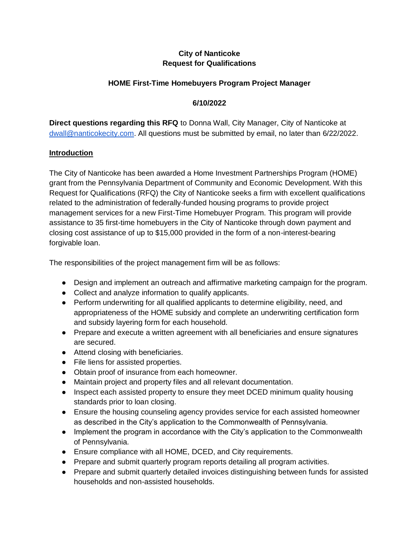# **City of Nanticoke Request for Qualifications**

### **HOME First-Time Homebuyers Program Project Manager**

### **6/10/2022**

**Direct questions regarding this RFQ** to Donna Wall, City Manager, City of Nanticoke at [dwall@nanticokecity.com.](mailto:dwall@nanticokecity.com) All questions must be submitted by email, no later than 6/22/2022.

#### **Introduction**

The City of Nanticoke has been awarded a Home Investment Partnerships Program (HOME) grant from the Pennsylvania Department of Community and Economic Development. With this Request for Qualifications (RFQ) the City of Nanticoke seeks a firm with excellent qualifications related to the administration of federally-funded housing programs to provide project management services for a new First-Time Homebuyer Program. This program will provide assistance to 35 first-time homebuyers in the City of Nanticoke through down payment and closing cost assistance of up to \$15,000 provided in the form of a non-interest-bearing forgivable loan.

The responsibilities of the project management firm will be as follows:

- Design and implement an outreach and affirmative marketing campaign for the program.
- Collect and analyze information to qualify applicants.
- Perform underwriting for all qualified applicants to determine eligibility, need, and appropriateness of the HOME subsidy and complete an underwriting certification form and subsidy layering form for each household.
- Prepare and execute a written agreement with all beneficiaries and ensure signatures are secured.
- Attend closing with beneficiaries.
- File liens for assisted properties.
- Obtain proof of insurance from each homeowner.
- Maintain project and property files and all relevant documentation.
- Inspect each assisted property to ensure they meet DCED minimum quality housing standards prior to loan closing.
- Ensure the housing counseling agency provides service for each assisted homeowner as described in the City's application to the Commonwealth of Pennsylvania.
- Implement the program in accordance with the City's application to the Commonwealth of Pennsylvania.
- Ensure compliance with all HOME, DCED, and City requirements.
- Prepare and submit quarterly program reports detailing all program activities.
- Prepare and submit quarterly detailed invoices distinguishing between funds for assisted households and non-assisted households.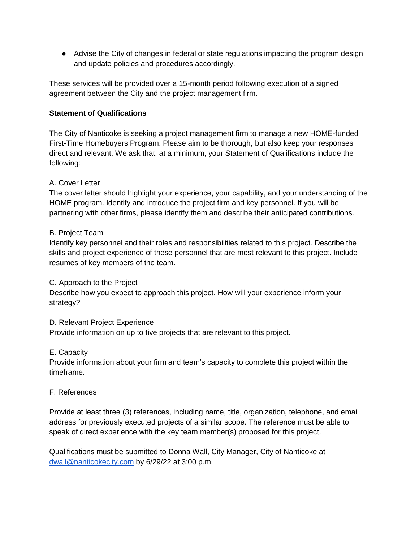● Advise the City of changes in federal or state regulations impacting the program design and update policies and procedures accordingly.

These services will be provided over a 15-month period following execution of a signed agreement between the City and the project management firm.

### **Statement of Qualifications**

The City of Nanticoke is seeking a project management firm to manage a new HOME-funded First-Time Homebuyers Program. Please aim to be thorough, but also keep your responses direct and relevant. We ask that, at a minimum, your Statement of Qualifications include the following:

## A. Cover Letter

The cover letter should highlight your experience, your capability, and your understanding of the HOME program. Identify and introduce the project firm and key personnel. If you will be partnering with other firms, please identify them and describe their anticipated contributions.

### B. Project Team

Identify key personnel and their roles and responsibilities related to this project. Describe the skills and project experience of these personnel that are most relevant to this project. Include resumes of key members of the team.

#### C. Approach to the Project

Describe how you expect to approach this project. How will your experience inform your strategy?

## D. Relevant Project Experience

Provide information on up to five projects that are relevant to this project.

## E. Capacity

Provide information about your firm and team's capacity to complete this project within the timeframe.

#### F. References

Provide at least three (3) references, including name, title, organization, telephone, and email address for previously executed projects of a similar scope. The reference must be able to speak of direct experience with the key team member(s) proposed for this project.

Qualifications must be submitted to Donna Wall, City Manager, City of Nanticoke at [dwall@nanticokecity.com](mailto:dwall@nanticokecity.com) by 6/29/22 at 3:00 p.m.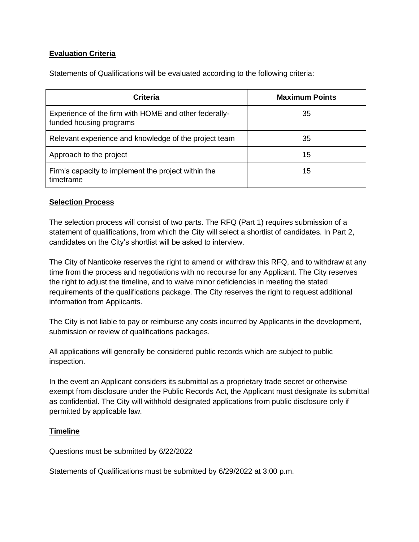## **Evaluation Criteria**

Statements of Qualifications will be evaluated according to the following criteria:

| <b>Criteria</b>                                                                  | <b>Maximum Points</b> |
|----------------------------------------------------------------------------------|-----------------------|
| Experience of the firm with HOME and other federally-<br>funded housing programs | 35                    |
| Relevant experience and knowledge of the project team                            | 35                    |
| Approach to the project                                                          | 15                    |
| Firm's capacity to implement the project within the<br>timeframe                 | 15                    |

#### **Selection Process**

The selection process will consist of two parts. The RFQ (Part 1) requires submission of a statement of qualifications, from which the City will select a shortlist of candidates. In Part 2, candidates on the City's shortlist will be asked to interview.

The City of Nanticoke reserves the right to amend or withdraw this RFQ, and to withdraw at any time from the process and negotiations with no recourse for any Applicant. The City reserves the right to adjust the timeline, and to waive minor deficiencies in meeting the stated requirements of the qualifications package. The City reserves the right to request additional information from Applicants.

The City is not liable to pay or reimburse any costs incurred by Applicants in the development, submission or review of qualifications packages.

All applications will generally be considered public records which are subject to public inspection.

In the event an Applicant considers its submittal as a proprietary trade secret or otherwise exempt from disclosure under the Public Records Act, the Applicant must designate its submittal as confidential. The City will withhold designated applications from public disclosure only if permitted by applicable law.

## **Timeline**

Questions must be submitted by 6/22/2022

Statements of Qualifications must be submitted by 6/29/2022 at 3:00 p.m.